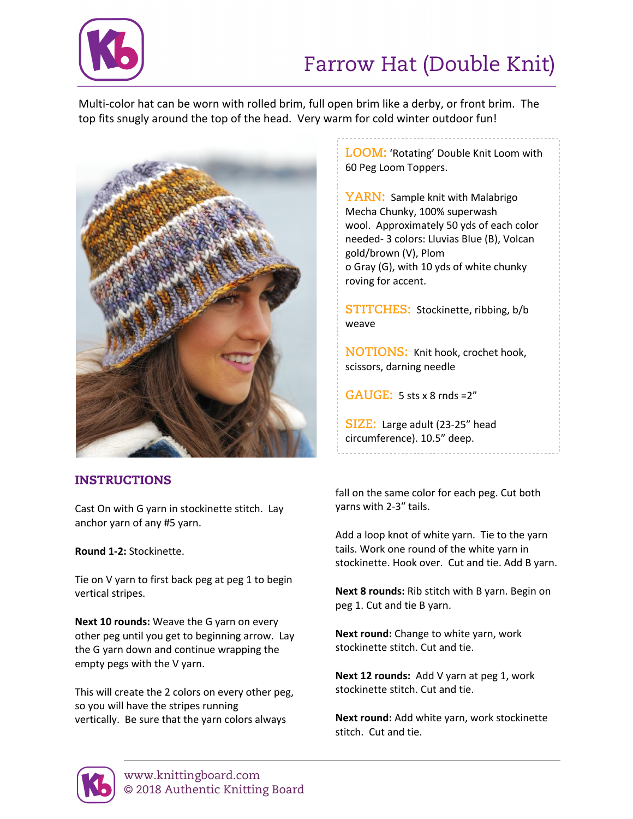

## Farrow Hat (Double Knit)

Multi-color hat can be worn with rolled brim, full open brim like a derby, or front brim. The top fits snugly around the top of the head. Very warm for cold winter outdoor fun!



### INSTRUCTIONS

Cast On with G yarn in stockinette stitch. Lay anchor yarn of any #5 yarn.

**Round 1-2:** Stockinette.

Tie on V yarn to first back peg at peg 1 to begin vertical stripes.

**Next 10 rounds:** Weave the G yarn on every other peg until you get to beginning arrow. Lay the G yarn down and continue wrapping the empty pegs with the V yarn.

This will create the 2 colors on every other peg, so you will have the stripes running vertically. Be sure that the yarn colors always

**LOOM:** 'Rotating' Double Knit Loom with 60 Peg Loom Toppers.

**YARN:** Sample knit with Malabrigo Mecha Chunky, 100% superwash wool. Approximately 50 yds of each color needed- 3 colors: Lluvias Blue (B), Volcan gold/brown (V), Plom o Gray (G), with 10 yds of white chunky roving for accent.

**STITCHES:** Stockinette, ribbing, b/b weave

**NOTIONS:** Knit hook, crochet hook, scissors, darning needle

**GAUGE:** 5 sts x 8 rnds =2"

**SIZE:** Large adult (23-25" head circumference). 10.5" deep.

fall on the same color for each peg. Cut both yarns with 2-3" tails.

Add a loop knot of white yarn. Tie to the yarn tails. Work one round of the white yarn in stockinette. Hook over. Cut and tie. Add B yarn.

**Next 8 rounds:** Rib stitch with B yarn. Begin on peg 1. Cut and tie B yarn.

**Next round:** Change to white yarn, work stockinette stitch. Cut and tie.

**Next 12 rounds:** Add V yarn at peg 1, work stockinette stitch. Cut and tie.

**Next round:** Add white yarn, work stockinette stitch. Cut and tie.

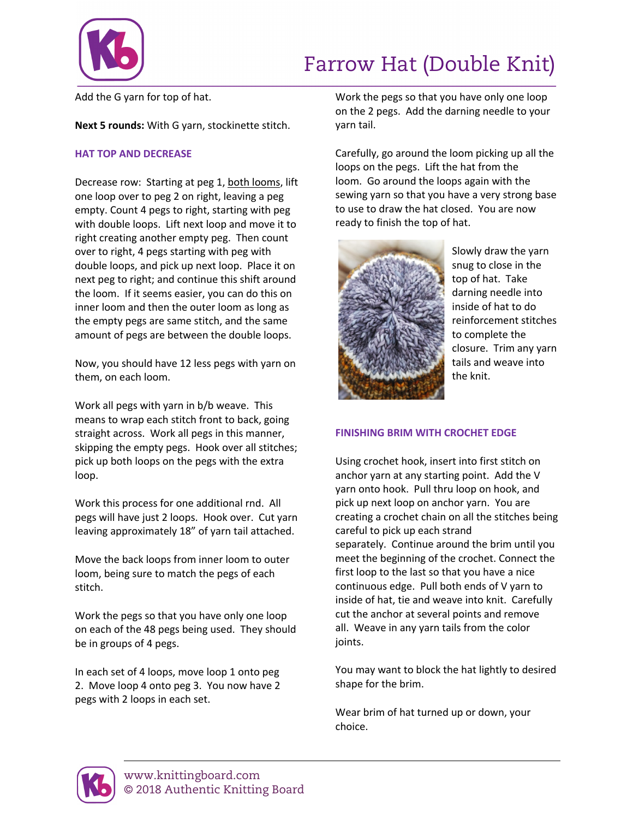

### Farrow Hat (Double Knit)

Add the G yarn for top of hat.

**Next 5 rounds:** With G yarn, stockinette stitch.

#### **HAT TOP AND DECREASE**

Decrease row: Starting at peg 1, both looms, lift one loop over to peg 2 on right, leaving a peg empty. Count 4 pegs to right, starting with peg with double loops. Lift next loop and move it to right creating another empty peg. Then count over to right, 4 pegs starting with peg with double loops, and pick up next loop. Place it on next peg to right; and continue this shift around the loom. If it seems easier, you can do this on inner loom and then the outer loom as long as the empty pegs are same stitch, and the same amount of pegs are between the double loops.

Now, you should have 12 less pegs with yarn on them, on each loom.

Work all pegs with yarn in b/b weave. This means to wrap each stitch front to back, going straight across. Work all pegs in this manner, skipping the empty pegs. Hook over all stitches; pick up both loops on the pegs with the extra loop.

Work this process for one additional rnd. All pegs will have just 2 loops. Hook over. Cut yarn leaving approximately 18" of yarn tail attached.

Move the back loops from inner loom to outer loom, being sure to match the pegs of each stitch.

Work the pegs so that you have only one loop on each of the 48 pegs being used. They should be in groups of 4 pegs.

In each set of 4 loops, move loop 1 onto peg 2. Move loop 4 onto peg 3. You now have 2 pegs with 2 loops in each set.

Work the pegs so that you have only one loop on the 2 pegs. Add the darning needle to your yarn tail.

Carefully, go around the loom picking up all the loops on the pegs. Lift the hat from the loom. Go around the loops again with the sewing yarn so that you have a very strong base to use to draw the hat closed. You are now ready to finish the top of hat.



Slowly draw the yarn snug to close in the top of hat. Take darning needle into inside of hat to do reinforcement stitches to complete the closure. Trim any yarn tails and weave into the knit.

#### **FINISHING BRIM WITH CROCHET EDGE**

Using crochet hook, insert into first stitch on anchor yarn at any starting point. Add the V yarn onto hook. Pull thru loop on hook, and pick up next loop on anchor yarn. You are creating a crochet chain on all the stitches being careful to pick up each strand separately. Continue around the brim until you meet the beginning of the crochet. Connect the first loop to the last so that you have a nice continuous edge. Pull both ends of V yarn to inside of hat, tie and weave into knit. Carefully cut the anchor at several points and remove all. Weave in any yarn tails from the color joints.

You may want to block the hat lightly to desired shape for the brim.

Wear brim of hat turned up or down, your choice.